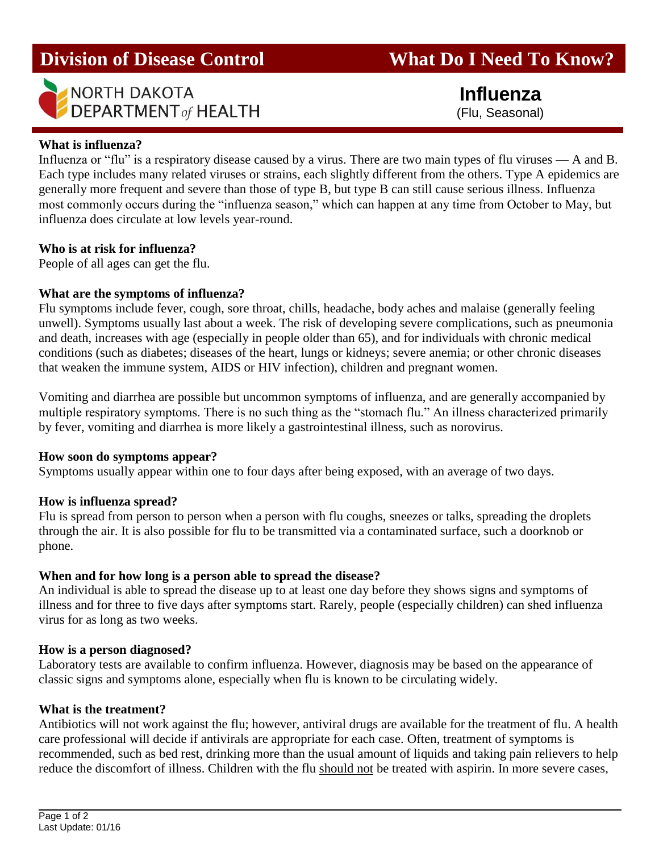# **Division of Disease Control What Do I Need To Know?**



 **Influenza** (Flu, Seasonal)

# **What is influenza?**

Influenza or "flu" is a respiratory disease caused by a virus. There are two main types of flu viruses — A and B. Each type includes many related viruses or strains, each slightly different from the others. Type A epidemics are generally more frequent and severe than those of type B, but type B can still cause serious illness. Influenza most commonly occurs during the "influenza season," which can happen at any time from October to May, but influenza does circulate at low levels year-round.

#### **Who is at risk for influenza?**

People of all ages can get the flu.

### **What are the symptoms of influenza?**

Flu symptoms include fever, cough, sore throat, chills, headache, body aches and malaise (generally feeling unwell). Symptoms usually last about a week. The risk of developing severe complications, such as pneumonia and death, increases with age (especially in people older than 65), and for individuals with chronic medical conditions (such as diabetes; diseases of the heart, lungs or kidneys; severe anemia; or other chronic diseases that weaken the immune system, AIDS or HIV infection), children and pregnant women.

Vomiting and diarrhea are possible but uncommon symptoms of influenza, and are generally accompanied by multiple respiratory symptoms. There is no such thing as the "stomach flu." An illness characterized primarily by fever, vomiting and diarrhea is more likely a gastrointestinal illness, such as norovirus.

#### **How soon do symptoms appear?**

Symptoms usually appear within one to four days after being exposed, with an average of two days.

#### **How is influenza spread?**

Flu is spread from person to person when a person with flu coughs, sneezes or talks, spreading the droplets through the air. It is also possible for flu to be transmitted via a contaminated surface, such a doorknob or phone.

# **When and for how long is a person able to spread the disease?**

An individual is able to spread the disease up to at least one day before they shows signs and symptoms of illness and for three to five days after symptoms start. Rarely, people (especially children) can shed influenza virus for as long as two weeks.

#### **How is a person diagnosed?**

Laboratory tests are available to confirm influenza. However, diagnosis may be based on the appearance of classic signs and symptoms alone, especially when flu is known to be circulating widely.

#### **What is the treatment?**

Antibiotics will not work against the flu; however, antiviral drugs are available for the treatment of flu. A health care professional will decide if antivirals are appropriate for each case. Often, treatment of symptoms is recommended, such as bed rest, drinking more than the usual amount of liquids and taking pain relievers to help reduce the discomfort of illness. Children with the flu should not be treated with aspirin. In more severe cases,